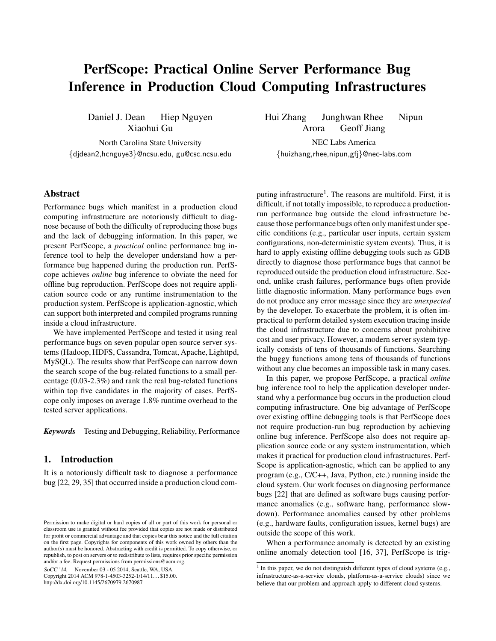# PerfScope: Practical Online Server Performance Bug Inference in Production Cloud Computing Infrastructures

Daniel J. Dean Hiep Nguyen Xiaohui Gu

North Carolina State University {djdean2,hcnguye3}@ncsu.edu, gu@csc.ncsu.edu

# Abstract

Performance bugs which manifest in a production cloud computing infrastructure are notoriously difficult to diagnose because of both the difficulty of reproducing those bugs and the lack of debugging information. In this paper, we present PerfScope, a *practical* online performance bug inference tool to help the developer understand how a performance bug happened during the production run. PerfScope achieves *online* bug inference to obviate the need for offline bug reproduction. PerfScope does not require application source code or any runtime instrumentation to the production system. PerfScope is application-agnostic, which can support both interpreted and compiled programs running inside a cloud infrastructure.

We have implemented PerfScope and tested it using real performance bugs on seven popular open source server systems (Hadoop, HDFS, Cassandra, Tomcat, Apache, Lighttpd, MySQL). The results show that PerfScope can narrow down the search scope of the bug-related functions to a small percentage (0.03-2.3%) and rank the real bug-related functions within top five candidates in the majority of cases. PerfScope only imposes on average 1.8% runtime overhead to the tested server applications.

*Keywords* Testing and Debugging, Reliability, Performance

## 1. Introduction

It is a notoriously difficult task to diagnose a performance bug [22, 29, 35] that occurred inside a production cloud com-

SoCC '14, November 03 - 05 2014, Seattle, WA, USA.

Copyright 2014 ACM 978-1-4503-3252-1/14/11. . . \$15.00. http://dx.doi.org/10.1145/2670979.2670987

Hui Zhang Junghwan Rhee Nipun Arora Geoff Jiang

NEC Labs America {huizhang,rhee,nipun,gfj}@nec-labs.com

puting infrastructure<sup>1</sup>. The reasons are multifold. First, it is difficult, if not totally impossible, to reproduce a productionrun performance bug outside the cloud infrastructure because those performance bugs often only manifest under specific conditions (e.g., particular user inputs, certain system configurations, non-deterministic system events). Thus, it is hard to apply existing offline debugging tools such as GDB directly to diagnose those performance bugs that cannot be reproduced outside the production cloud infrastructure. Second, unlike crash failures, performance bugs often provide little diagnostic information. Many performance bugs even do not produce any error message since they are *unexpected* by the developer. To exacerbate the problem, it is often impractical to perform detailed system execution tracing inside the cloud infrastructure due to concerns about prohibitive cost and user privacy. However, a modern server system typically consists of tens of thousands of functions. Searching the buggy functions among tens of thousands of functions without any clue becomes an impossible task in many cases.

In this paper, we propose PerfScope, a practical *online* bug inference tool to help the application developer understand why a performance bug occurs in the production cloud computing infrastructure. One big advantage of PerfScope over existing offline debugging tools is that PerfScope does not require production-run bug reproduction by achieving online bug inference. PerfScope also does not require application source code or any system instrumentation, which makes it practical for production cloud infrastructures. Perf-Scope is application-agnostic, which can be applied to any program (e.g., C/C++, Java, Python, etc.) running inside the cloud system. Our work focuses on diagnosing performance bugs [22] that are defined as software bugs causing performance anomalies (e.g., software hang, performance slowdown). Performance anomalies caused by other problems (e.g., hardware faults, configuration issues, kernel bugs) are outside the scope of this work.

When a performance anomaly is detected by an existing online anomaly detection tool [16, 37], PerfScope is trig-

Permission to make digital or hard copies of all or part of this work for personal or classroom use is granted without fee provided that copies are not made or distributed for profit or commercial advantage and that copies bear this notice and the full citation on the first page. Copyrights for components of this work owned by others than the author(s) must be honored. Abstracting with credit is permitted. To copy otherwise, or republish, to post on servers or to redistribute to lists, requires prior specific permission and/or a fee. Request permissions from permissions@acm.org.

 $<sup>1</sup>$  In this paper, we do not distinguish different types of cloud systems (e.g.,</sup> infrastructure-as-a-service clouds, platform-as-a-service clouds) since we believe that our problem and approach apply to different cloud systems.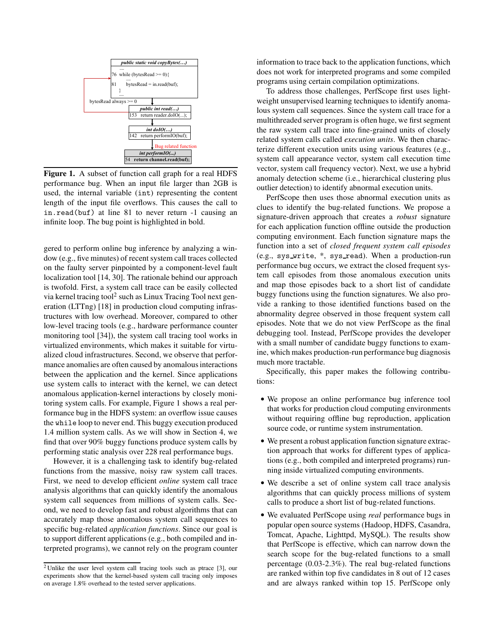

Figure 1. A subset of function call graph for a real HDFS performance bug. When an input file larger than 2GB is used, the internal variable (int) representing the content length of the input file overflows. This causes the call to in.read(buf) at line 81 to never return -1 causing an infinite loop. The bug point is highlighted in bold.

gered to perform online bug inference by analyzing a window (e.g., five minutes) of recent system call traces collected on the faulty server pinpointed by a component-level fault localization tool [14, 30]. The rationale behind our approach is twofold. First, a system call trace can be easily collected via kernel tracing tool<sup>2</sup> such as Linux Tracing Tool next generation (LTTng) [18] in production cloud computing infrastructures with low overhead. Moreover, compared to other low-level tracing tools (e.g., hardware performance counter monitoring tool [34]), the system call tracing tool works in virtualized environments, which makes it suitable for virtualized cloud infrastructures. Second, we observe that performance anomalies are often caused by anomalous interactions between the application and the kernel. Since applications use system calls to interact with the kernel, we can detect anomalous application-kernel interactions by closely monitoring system calls. For example, Figure 1 shows a real performance bug in the HDFS system: an overflow issue causes the while loop to never end. This buggy execution produced 1.4 million system calls. As we will show in Section 4, we find that over 90% buggy functions produce system calls by performing static analysis over 228 real performance bugs.

However, it is a challenging task to identify bug-related functions from the massive, noisy raw system call traces. First, we need to develop efficient *online* system call trace analysis algorithms that can quickly identify the anomalous system call sequences from millions of system calls. Second, we need to develop fast and robust algorithms that can accurately map those anomalous system call sequences to specific bug-related *application functions*. Since our goal is to support different applications (e.g., both compiled and interpreted programs), we cannot rely on the program counter information to trace back to the application functions, which does not work for interpreted programs and some compiled programs using certain compilation optimizations.

To address those challenges, PerfScope first uses lightweight unsupervised learning techniques to identify anomalous system call sequences. Since the system call trace for a multithreaded server program is often huge, we first segment the raw system call trace into fine-grained units of closely related system calls called *execution units*. We then characterize different execution units using various features (e.g., system call appearance vector, system call execution time vector, system call frequency vector). Next, we use a hybrid anomaly detection scheme (i.e., hierarchical clustering plus outlier detection) to identify abnormal execution units.

PerfScope then uses those abnormal execution units as clues to identify the bug-related functions. We propose a signature-driven approach that creates a *robust* signature for each application function offline outside the production computing environment. Each function signature maps the function into a set of *closed frequent system call episodes* (e.g., sys\_write,  $*$ , sys\_read). When a production-run performance bug occurs, we extract the closed frequent system call episodes from those anomalous execution units and map those episodes back to a short list of candidate buggy functions using the function signatures. We also provide a ranking to those identified functions based on the abnormality degree observed in those frequent system call episodes. Note that we do not view PerfScope as the final debugging tool. Instead, PerfScope provides the developer with a small number of candidate buggy functions to examine, which makes production-run performance bug diagnosis much more tractable.

Specifically, this paper makes the following contributions:

- We propose an online performance bug inference tool that works for production cloud computing environments without requiring offline bug reproduction, application source code, or runtime system instrumentation.
- We present a robust application function signature extraction approach that works for different types of applications (e.g., both compiled and interpreted programs) running inside virtualized computing environments.
- We describe a set of online system call trace analysis algorithms that can quickly process millions of system calls to produce a short list of bug-related functions.
- We evaluated PerfScope using *real* performance bugs in popular open source systems (Hadoop, HDFS, Casandra, Tomcat, Apache, Lighttpd, MySQL). The results show that PerfScope is effective, which can narrow down the search scope for the bug-related functions to a small percentage (0.03-2.3%). The real bug-related functions are ranked within top five candidates in 8 out of 12 cases and are always ranked within top 15. PerfScope only

<sup>2</sup> Unlike the user level system call tracing tools such as ptrace [3], our experiments show that the kernel-based system call tracing only imposes on average 1.8% overhead to the tested server applications.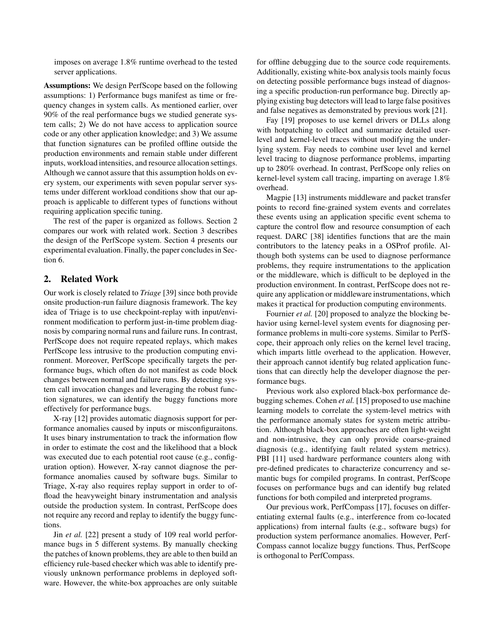imposes on average 1.8% runtime overhead to the tested server applications.

Assumptions: We design PerfScope based on the following assumptions: 1) Performance bugs manifest as time or frequency changes in system calls. As mentioned earlier, over 90% of the real performance bugs we studied generate system calls; 2) We do not have access to application source code or any other application knowledge; and 3) We assume that function signatures can be profiled offline outside the production environments and remain stable under different inputs, workload intensities, and resource allocation settings. Although we cannot assure that this assumption holds on every system, our experiments with seven popular server systems under different workload conditions show that our approach is applicable to different types of functions without requiring application specific tuning.

The rest of the paper is organized as follows. Section 2 compares our work with related work. Section 3 describes the design of the PerfScope system. Section 4 presents our experimental evaluation. Finally, the paper concludes in Section 6.

## 2. Related Work

Our work is closely related to *Triage* [39] since both provide onsite production-run failure diagnosis framework. The key idea of Triage is to use checkpoint-replay with input/environment modification to perform just-in-time problem diagnosis by comparing normal runs and failure runs. In contrast, PerfScope does not require repeated replays, which makes PerfScope less intrusive to the production computing environment. Moreover, PerfScope specifically targets the performance bugs, which often do not manifest as code block changes between normal and failure runs. By detecting system call invocation changes and leveraging the robust function signatures, we can identify the buggy functions more effectively for performance bugs.

X-ray [12] provides automatic diagnosis support for performance anomalies caused by inputs or misconfiguraitons. It uses binary instrumentation to track the information flow in order to estimate the cost and the likelihood that a block was executed due to each potential root cause (e.g., configuration option). However, X-ray cannot diagnose the performance anomalies caused by software bugs. Similar to Triage, X-ray also requires replay support in order to offload the heavyweight binary instrumentation and analysis outside the production system. In contrast, PerfScope does not require any record and replay to identify the buggy functions.

Jin *et al.* [22] present a study of 109 real world performance bugs in 5 different systems. By manually checking the patches of known problems, they are able to then build an efficiency rule-based checker which was able to identify previously unknown performance problems in deployed software. However, the white-box approaches are only suitable

for offline debugging due to the source code requirements. Additionally, existing white-box analysis tools mainly focus on detecting possible performance bugs instead of diagnosing a specific production-run performance bug. Directly applying existing bug detectors will lead to large false positives and false negatives as demonstrated by previous work [21].

Fay [19] proposes to use kernel drivers or DLLs along with hotpatching to collect and summarize detailed userlevel and kernel-level traces without modifying the underlying system. Fay needs to combine user level and kernel level tracing to diagnose performance problems, imparting up to 280% overhead. In contrast, PerfScope only relies on kernel-level system call tracing, imparting on average 1.8% overhead.

Magpie [13] instruments middleware and packet transfer points to record fine-grained system events and correlates these events using an application specific event schema to capture the control flow and resource consumption of each request. DARC [38] identifies functions that are the main contributors to the latency peaks in a OSProf profile. Although both systems can be used to diagnose performance problems, they require instrumentations to the application or the middleware, which is difficult to be deployed in the production environment. In contrast, PerfScope does not require any application or middleware instrumentations, which makes it practical for production computing environments.

Fournier *et al.* [20] proposed to analyze the blocking behavior using kernel-level system events for diagnosing performance problems in multi-core systems. Similar to PerfScope, their approach only relies on the kernel level tracing, which imparts little overhead to the application. However, their approach cannot identify bug related application functions that can directly help the developer diagnose the performance bugs.

Previous work also explored black-box performance debugging schemes. Cohen *et al.* [15] proposed to use machine learning models to correlate the system-level metrics with the performance anomaly states for system metric attribution. Although black-box approaches are often light-weight and non-intrusive, they can only provide coarse-grained diagnosis (e.g., identifying fault related system metrics). PBI [11] used hardware performance counters along with pre-defined predicates to characterize concurrency and semantic bugs for compiled programs. In contrast, PerfScope focuses on performance bugs and can identify bug related functions for both compiled and interpreted programs.

Our previous work, PerfCompass [17], focuses on differentiating external faults (e.g., interference from co-located applications) from internal faults (e.g., software bugs) for production system performance anomalies. However, Perf-Compass cannot localize buggy functions. Thus, PerfScope is orthogonal to PerfCompass.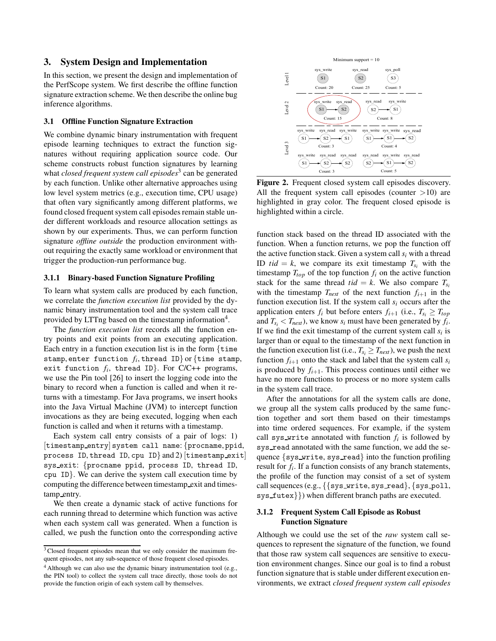# 3. System Design and Implementation

In this section, we present the design and implementation of the PerfScope system. We first describe the offline function signature extraction scheme. We then describe the online bug inference algorithms.

#### 3.1 Offline Function Signature Extraction

We combine dynamic binary instrumentation with frequent episode learning techniques to extract the function signatures without requiring application source code. Our scheme constructs robust function signatures by learning what *closed frequent system call episodes*<sup>3</sup> can be generated by each function. Unlike other alternative approaches using low level system metrics (e.g., execution time, CPU usage) that often vary significantly among different platforms, we found closed frequent system call episodes remain stable under different workloads and resource allocation settings as shown by our experiments. Thus, we can perform function signature *offline outside* the production environment without requiring the exactly same workload or environment that trigger the production-run performance bug.

#### 3.1.1 Binary-based Function Signature Profiling

To learn what system calls are produced by each function, we correlate the *function execution list* provided by the dynamic binary instrumentation tool and the system call trace provided by LTTng based on the timestamp information<sup>4</sup>.

The *function execution list* records all the function entry points and exit points from an executing application. Each entry in a function execution list is in the form  $\{\mathtt{time}$ stamp, enter function  $f_i$ , thread ID} or  $\{\text{time stamp},$ exit function  $f_i$ , thread ID}. For  $C/C++$  programs, we use the Pin tool [26] to insert the logging code into the binary to record when a function is called and when it returns with a timestamp. For Java programs, we insert hooks into the Java Virtual Machine (JVM) to intercept function invocations as they are being executed, logging when each function is called and when it returns with a timestamp.

Each system call entry consists of a pair of logs: 1) [timestamp entry] system call name: {procname, ppid, process ID, thread ID, cpu ID} and 2) [timestamp exit] sys exit: {procname ppid, process ID, thread ID, cpu ID}. We can derive the system call execution time by computing the difference between timestamp exit and timestamp entry.

We then create a dynamic stack of active functions for each running thread to determine which function was active when each system call was generated. When a function is called, we push the function onto the corresponding active



Figure 2. Frequent closed system call episodes discovery. All the frequent system call episodes (counter  $>10$ ) are highlighted in gray color. The frequent closed episode is highlighted within a circle.

function stack based on the thread ID associated with the function. When a function returns, we pop the function off the active function stack. Given a system call  $s_i$  with a thread ID *tid* = *k*, we compare its exit timestamp  $T_s$  with the timestamp  $T_{top}$  of the top function  $f_i$  on the active function stack for the same thread  $tid = k$ . We also compare  $T_{s_i}$ with the timestamp  $T_{next}$  of the next function  $f_{i+1}$  in the function execution list. If the system call  $s_i$  occurs after the application enters  $f_i$  but before enters  $f_{i+1}$  (i.e.,  $T_{s_i} \geq T_{top}$ and  $T_{s_i} < T_{next}$ ), we know  $s_i$  must have been generated by  $f_i$ . If we find the exit timestamp of the current system call  $s_i$  is larger than or equal to the timestamp of the next function in the function execution list (i.e.,  $T_{s_i} \geq T_{next}$ ), we push the next function  $f_{i+1}$  onto the stack and label that the system call  $s_i$ is produced by  $f_{i+1}$ . This process continues until either we have no more functions to process or no more system calls in the system call trace.

After the annotations for all the system calls are done, we group all the system calls produced by the same function together and sort them based on their timestamps into time ordered sequences. For example, if the system call sys\_write annotated with function  $f_i$  is followed by sys read annotated with the same function, we add the sequence  $\{sys\_write, sys\_read\}$  into the function profiling result for *f<sup>i</sup>* . If a function consists of any branch statements, the profile of the function may consist of a set of system call sequences (e.g.,  $\{\{sys\_write, sys\_read\}, \{sys\_pol1,$ sys futex}}) when different branch paths are executed.

## 3.1.2 Frequent System Call Episode as Robust Function Signature

Although we could use the set of the *raw* system call sequences to represent the signature of the function, we found that those raw system call sequences are sensitive to execution environment changes. Since our goal is to find a robust function signature that is stable under different execution environments, we extract *closed frequent system call episodes*

<sup>&</sup>lt;sup>3</sup> Closed frequent episodes mean that we only consider the maximum frequent episodes, not any sub-sequence of those frequent closed episodes.

 $4$  Although we can also use the dynamic binary instrumentation tool (e.g., the PIN tool) to collect the system call trace directly, those tools do not provide the function origin of each system call by themselves.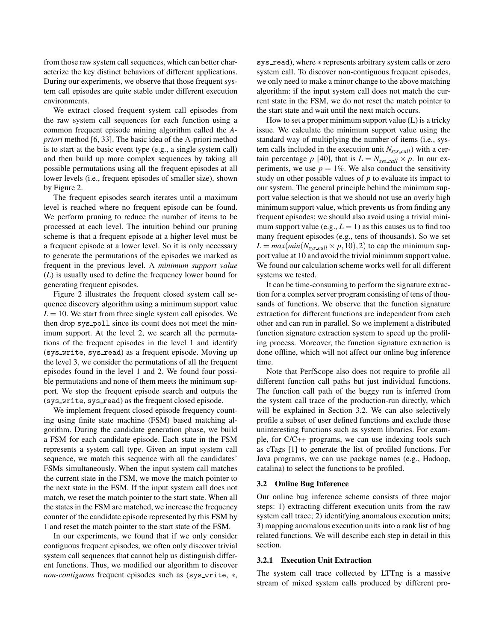from those raw system call sequences, which can better characterize the key distinct behaviors of different applications. During our experiments, we observe that those frequent system call episodes are quite stable under different execution environments.

We extract closed frequent system call episodes from the raw system call sequences for each function using a common frequent episode mining algorithm called the *Apriori* method [6, 33]. The basic idea of the A-priori method is to start at the basic event type (e.g., a single system call) and then build up more complex sequences by taking all possible permutations using all the frequent episodes at all lower levels (i.e., frequent episodes of smaller size), shown by Figure 2.

The frequent episodes search iterates until a maximum level is reached where no frequent episode can be found. We perform pruning to reduce the number of items to be processed at each level. The intuition behind our pruning scheme is that a frequent episode at a higher level must be a frequent episode at a lower level. So it is only necessary to generate the permutations of the episodes we marked as frequent in the previous level. A *minimum support value* (*L*) is usually used to define the frequency lower bound for generating frequent episodes.

Figure 2 illustrates the frequent closed system call sequence discovery algorithm using a minimum support value  $L = 10$ . We start from three single system call episodes. We then drop sys poll since its count does not meet the minimum support. At the level 2, we search all the permutations of the frequent episodes in the level 1 and identify (sys\_write, sys\_read) as a frequent episode. Moving up the level 3, we consider the permutations of all the frequent episodes found in the level 1 and 2. We found four possible permutations and none of them meets the minimum support. We stop the frequent episode search and outputs the (sys write, sys read) as the frequent closed episode.

We implement frequent closed episode frequency counting using finite state machine (FSM) based matching algorithm. During the candidate generation phase, we build a FSM for each candidate episode. Each state in the FSM represents a system call type. Given an input system call sequence, we match this sequence with all the candidates' FSMs simultaneously. When the input system call matches the current state in the FSM, we move the match pointer to the next state in the FSM. If the input system call does not match, we reset the match pointer to the start state. When all the states in the FSM are matched, we increase the frequency counter of the candidate episode represented by this FSM by 1 and reset the match pointer to the start state of the FSM.

In our experiments, we found that if we only consider contiguous frequent episodes, we often only discover trivial system call sequences that cannot help us distinguish different functions. Thus, we modified our algorithm to discover *non-contiguous* frequent episodes such as (sys\_write, \*,

sys\_read), where  $*$  represents arbitrary system calls or zero system call. To discover non-contiguous frequent episodes, we only need to make a minor change to the above matching algorithm: if the input system call does not match the current state in the FSM, we do not reset the match pointer to the start state and wait until the next match occurs.

How to set a proper minimum support value (L) is a tricky issue. We calculate the minimum support value using the standard way of multiplying the number of items (i.e., system calls included in the execution unit *Nsys call*) with a certain percentage *p* [40], that is  $L = N_{sys\_call} \times p$ . In our experiments, we use  $p = 1\%$ . We also conduct the sensitivity study on other possible values of *p* to evaluate its impact to our system. The general principle behind the minimum support value selection is that we should not use an overly high minimum support value, which prevents us from finding any frequent episodes; we should also avoid using a trivial minimum support value (e.g.,  $L = 1$ ) as this causes us to find too many frequent episodes (e.g., tens of thousands). So we set  $L = max(min(N_{sys\_call} \times p, 10), 2)$  to cap the minimum support value at 10 and avoid the trivial minimum support value. We found our calculation scheme works well for all different systems we tested.

It can be time-consuming to perform the signature extraction for a complex server program consisting of tens of thousands of functions. We observe that the function signature extraction for different functions are independent from each other and can run in parallel. So we implement a distributed function signature extraction system to speed up the profiling process. Moreover, the function signature extraction is done offline, which will not affect our online bug inference time.

Note that PerfScope also does not require to profile all different function call paths but just individual functions. The function call path of the buggy run is inferred from the system call trace of the production-run directly, which will be explained in Section 3.2. We can also selectively profile a subset of user defined functions and exclude those uninteresting functions such as system libraries. For example, for C/C++ programs, we can use indexing tools such as cTags [1] to generate the list of profiled functions. For Java programs, we can use package names (e.g., Hadoop, catalina) to select the functions to be profiled.

## 3.2 Online Bug Inference

Our online bug inference scheme consists of three major steps: 1) extracting different execution units from the raw system call trace; 2) identifying anomalous execution units; 3) mapping anomalous execution units into a rank list of bug related functions. We will describe each step in detail in this section.

#### 3.2.1 Execution Unit Extraction

The system call trace collected by LTTng is a massive stream of mixed system calls produced by different pro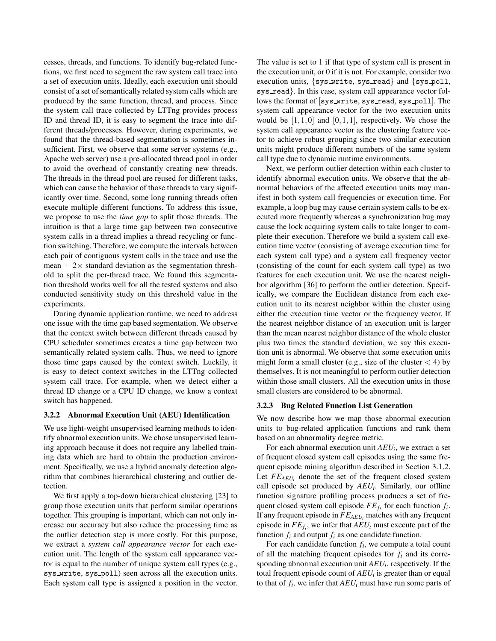cesses, threads, and functions. To identify bug-related functions, we first need to segment the raw system call trace into a set of execution units. Ideally, each execution unit should consist of a set of semantically related system calls which are produced by the same function, thread, and process. Since the system call trace collected by LTTng provides process ID and thread ID, it is easy to segment the trace into different threads/processes. However, during experiments, we found that the thread-based segmentation is sometimes insufficient. First, we observe that some server systems (e.g., Apache web server) use a pre-allocated thread pool in order to avoid the overhead of constantly creating new threads. The threads in the thread pool are reused for different tasks, which can cause the behavior of those threads to vary significantly over time. Second, some long running threads often execute multiple different functions. To address this issue, we propose to use the *time gap* to split those threads. The intuition is that a large time gap between two consecutive system calls in a thread implies a thread recycling or function switching. Therefore, we compute the intervals between each pair of contiguous system calls in the trace and use the mean  $+ 2 \times$  standard deviation as the segmentation threshold to split the per-thread trace. We found this segmentation threshold works well for all the tested systems and also conducted sensitivity study on this threshold value in the experiments.

During dynamic application runtime, we need to address one issue with the time gap based segmentation. We observe that the context switch between different threads caused by CPU scheduler sometimes creates a time gap between two semantically related system calls. Thus, we need to ignore those time gaps caused by the context switch. Luckily, it is easy to detect context switches in the LTTng collected system call trace. For example, when we detect either a thread ID change or a CPU ID change, we know a context switch has happened.

### 3.2.2 Abnormal Execution Unit (AEU) Identification

We use light-weight unsupervised learning methods to identify abnormal execution units. We chose unsupervised learning approach because it does not require any labelled training data which are hard to obtain the production environment. Specifically, we use a hybrid anomaly detection algorithm that combines hierarchical clustering and outlier detection.

We first apply a top-down hierarchical clustering [23] to group those execution units that perform similar operations together. This grouping is important, which can not only increase our accuracy but also reduce the processing time as the outlier detection step is more costly. For this purpose, we extract a *system call appearance vector* for each execution unit. The length of the system call appearance vector is equal to the number of unique system call types (e.g., sys write, sys poll) seen across all the execution units. Each system call type is assigned a position in the vector.

The value is set to 1 if that type of system call is present in the execution unit, or 0 if it is not. For example, consider two execution units, {sys write, sys read} and {sys poll, sys\_read}. In this case, system call appearance vector follows the format of [sys\_write, sys\_read, sys\_poll]. The system call appearance vector for the two execution units would be  $[1,1,0]$  and  $[0,1,1]$ , respectively. We chose the system call appearance vector as the clustering feature vector to achieve robust grouping since two similar execution units might produce different numbers of the same system call type due to dynamic runtime environments.

Next, we perform outlier detection within each cluster to identify abnormal execution units. We observe that the abnormal behaviors of the affected execution units may manifest in both system call frequencies or execution time. For example, a loop bug may cause certain system calls to be executed more frequently whereas a synchronization bug may cause the lock acquiring system calls to take longer to complete their execution. Therefore we build a system call execution time vector (consisting of average execution time for each system call type) and a system call frequency vector (consisting of the count for each system call type) as two features for each execution unit. We use the nearest neighbor algorithm [36] to perform the outlier detection. Specifically, we compare the Euclidean distance from each execution unit to its nearest neighbor within the cluster using either the execution time vector or the frequency vector. If the nearest neighbor distance of an execution unit is larger than the mean nearest neighbor distance of the whole cluster plus two times the standard deviation, we say this execution unit is abnormal. We observe that some execution units might form a small cluster (e.g., size of the cluster  $\langle 4 \rangle$  by themselves. It is not meaningful to perform outlier detection within those small clusters. All the execution units in those small clusters are considered to be abnormal.

#### 3.2.3 Bug Related Function List Generation

We now describe how we map those abnormal execution units to bug-related application functions and rank them based on an abnormality degree metric.

For each abnormal execution unit *AEU<sup>i</sup>* , we extract a set of frequent closed system call episodes using the same frequent episode mining algorithm described in Section 3.1.2. Let  $FE_{AEU_i}$  denote the set of the frequent closed system call episode set produced by *AEU<sup>i</sup>* . Similarly, our offline function signature profiling process produces a set of frequent closed system call episode  $FE_{f_i}$  for each function  $f_i$ . If any frequent episode in *FEAEU<sup>i</sup>* matches with any frequent episode in *FEf<sup>i</sup>* , we infer that *AEU<sup>i</sup>* must execute part of the function  $f_i$  and output  $f_i$  as one candidate function.

For each candidate function *f<sup>i</sup>* , we compute a total count of all the matching frequent episodes for *f<sup>i</sup>* and its corresponding abnormal execution unit *AEU<sup>i</sup>* , respectively. If the total frequent episode count of *AEU<sup>i</sup>* is greater than or equal to that of  $f_i$ , we infer that  $AEU_i$  must have run some parts of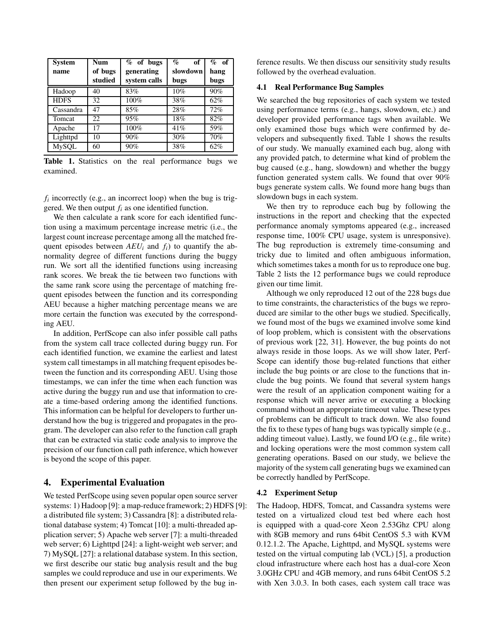| <b>System</b><br>name | <b>Num</b><br>of bugs | $%$ of bugs<br>generating | $\%$<br>of<br>slowdown | $%$ of<br>hang |
|-----------------------|-----------------------|---------------------------|------------------------|----------------|
|                       | studied               | system calls              | bugs                   | bugs           |
| Hadoop                | 40                    | 83%                       | 10%                    | 90%            |
| <b>HDFS</b>           | 32                    | 100%                      | 38%                    | 62%            |
| Cassandra             | 47                    | 85%                       | 28%                    | 72%            |
| Tomcat                | 22                    | 95%                       | 18%                    | 82%            |
| Apache                | 17                    | 100%                      | 41%                    | 59%            |
| Lighttpd              | 10                    | 90%                       | 30%                    | 70%            |
| <b>MySQL</b>          | 60                    | 90%                       | 38%                    | 62%            |

Table 1. Statistics on the real performance bugs we examined.

 $f_i$  incorrectly (e.g., an incorrect loop) when the bug is triggered. We then output *f<sup>i</sup>* as one identified function.

We then calculate a rank score for each identified function using a maximum percentage increase metric (i.e., the largest count increase percentage among all the matched frequent episodes between  $AEU_i$  and  $f_i$ ) to quantify the abnormality degree of different functions during the buggy run. We sort all the identified functions using increasing rank scores. We break the tie between two functions with the same rank score using the percentage of matching frequent episodes between the function and its corresponding AEU because a higher matching percentage means we are more certain the function was executed by the corresponding AEU.

In addition, PerfScope can also infer possible call paths from the system call trace collected during buggy run. For each identified function, we examine the earliest and latest system call timestamps in all matching frequent episodes between the function and its corresponding AEU. Using those timestamps, we can infer the time when each function was active during the buggy run and use that information to create a time-based ordering among the identified functions. This information can be helpful for developers to further understand how the bug is triggered and propagates in the program. The developer can also refer to the function call graph that can be extracted via static code analysis to improve the precision of our function call path inference, which however is beyond the scope of this paper.

### 4. Experimental Evaluation

We tested PerfScope using seven popular open source server systems: 1) Hadoop [9]: a map-reduce framework; 2) HDFS [9]: a distributed file system; 3) Cassandra [8]: a distributed relational database system; 4) Tomcat [10]: a multi-threaded application server; 5) Apache web server [7]: a multi-threaded web server; 6) Lighttpd [24]: a light-weight web server; and 7) MySQL [27]: a relational database system. In this section, we first describe our static bug analysis result and the bug samples we could reproduce and use in our experiments. We then present our experiment setup followed by the bug inference results. We then discuss our sensitivity study results followed by the overhead evaluation.

#### 4.1 Real Performance Bug Samples

We searched the bug repositories of each system we tested using performance terms (e.g., hangs, slowdown, etc.) and developer provided performance tags when available. We only examined those bugs which were confirmed by developers and subsequently fixed. Table 1 shows the results of our study. We manually examined each bug, along with any provided patch, to determine what kind of problem the bug caused (e.g., hang, slowdown) and whether the buggy function generated system calls. We found that over 90% bugs generate system calls. We found more hang bugs than slowdown bugs in each system.

We then try to reproduce each bug by following the instructions in the report and checking that the expected performance anomaly symptoms appeared (e.g., increased response time, 100% CPU usage, system is unresponsive). The bug reproduction is extremely time-consuming and tricky due to limited and often ambiguous information, which sometimes takes a month for us to reproduce one bug. Table 2 lists the 12 performance bugs we could reproduce given our time limit.

Although we only reproduced 12 out of the 228 bugs due to time constraints, the characteristics of the bugs we reproduced are similar to the other bugs we studied. Specifically, we found most of the bugs we examined involve some kind of loop problem, which is consistent with the observations of previous work [22, 31]. However, the bug points do not always reside in those loops. As we will show later, Perf-Scope can identify those bug-related functions that either include the bug points or are close to the functions that include the bug points. We found that several system hangs were the result of an application component waiting for a response which will never arrive or executing a blocking command without an appropriate timeout value. These types of problems can be difficult to track down. We also found the fix to these types of hang bugs was typically simple (e.g., adding timeout value). Lastly, we found I/O (e.g., file write) and locking operations were the most common system call generating operations. Based on our study, we believe the majority of the system call generating bugs we examined can be correctly handled by PerfScope.

## 4.2 Experiment Setup

The Hadoop, HDFS, Tomcat, and Cassandra systems were tested on a virtualized cloud test bed where each host is equipped with a quad-core Xeon 2.53Ghz CPU along with 8GB memory and runs 64bit CentOS 5.3 with KVM 0.12.1.2. The Apache, Lighttpd, and MySQL systems were tested on the virtual computing lab (VCL) [5], a production cloud infrastructure where each host has a dual-core Xeon 3.0GHz CPU and 4GB memory, and runs 64bit CentOS 5.2 with Xen 3.0.3. In both cases, each system call trace was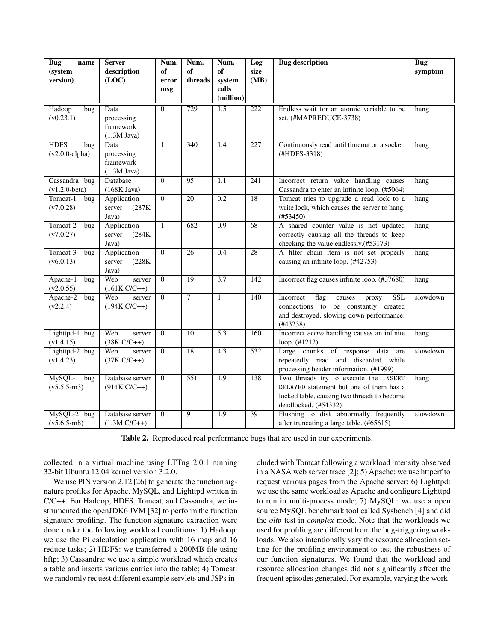| <b>Bug</b><br>name            | <b>Server</b>    | Num.           | Num.            | Num.             | Log  | <b>Bug</b> description                                  | <b>Bug</b> |
|-------------------------------|------------------|----------------|-----------------|------------------|------|---------------------------------------------------------|------------|
| (system                       | description      | of             | of              | of               | size |                                                         | symptom    |
| version)                      | (LOC)            | error          | threads         | system           | (MB) |                                                         |            |
|                               |                  | msg            |                 | calls            |      |                                                         |            |
|                               |                  |                |                 | (million)        |      |                                                         |            |
| Hadoop<br>bug                 | Data             | $\overline{0}$ | 729             | 1.5              | 222  | Endless wait for an atomic variable to be               | hang       |
| (v0.23.1)                     | processing       |                |                 |                  |      | set. (#MAPREDUCE-3738)                                  |            |
|                               | framework        |                |                 |                  |      |                                                         |            |
|                               | $(1.3M$ Java)    |                |                 |                  |      |                                                         |            |
| <b>HDFS</b><br>bug            | Data             | $\mathbf{1}$   | 340             | 1.4              | 227  | Continuously read until timeout on a socket.            | hang       |
| $(v2.0.0$ -alpha)             | processing       |                |                 |                  |      | (#HDFS-3318)                                            |            |
|                               | framework        |                |                 |                  |      |                                                         |            |
|                               | $(1.3M$ Java)    |                |                 |                  |      |                                                         |            |
| Cassandra bug                 | Database         | $\Omega$       | 95              | $\overline{1.1}$ | 241  | Incorrect return value handling causes                  | hang       |
| $(v1.2.0-beta)$               | $(168K$ Java)    |                |                 |                  |      | Cassandra to enter an infinite loop. (#5064)            |            |
| Tomcat-1<br>bug               | Application      | $\overline{0}$ | 20              | 0.2              | 18   | Tomcat tries to upgrade a read lock to a                | hang       |
| (v7.0.28)                     | server<br>(287K) |                |                 |                  |      | write lock, which causes the server to hang.            |            |
|                               | Java)            |                |                 |                  |      | (#53450)                                                |            |
| Tomcat-2<br>bug               | Application      | $\mathbf{1}$   | 682             | 0.9              | 68   | A shared counter value is not updated                   | hang       |
| (v7.0.27)                     | server<br>(284K) |                |                 |                  |      | correctly causing all the threads to keep               |            |
|                               | Java)            |                |                 |                  |      | checking the value endlessly.(#53173)                   |            |
| Tomcat-3<br>bug               | Application      | $\overline{0}$ | $\overline{26}$ | 0.4              | 28   | A filter chain item is not set properly                 | hang       |
| (v6.0.13)                     | (228K)<br>server |                |                 |                  |      | causing an infinite loop. (#42753)                      |            |
|                               | Java)            |                |                 |                  |      |                                                         |            |
| Apache-1<br>$\overline{b}$ ug | Web<br>server    | $\overline{0}$ | 19              | 3.7              | 142  | Incorrect flag causes infinite loop. (#37680)           | hang       |
| (v2.0.55)                     | $(161K C/C++)$   |                |                 |                  |      |                                                         |            |
| Apache-2<br>bug               | Web<br>server    | $\overline{0}$ | $\overline{7}$  | $\mathbf{1}$     | 140  | Incorrect<br>flag<br><b>SSL</b><br>causes<br>proxy      | slowdown   |
| (v2.2.4)                      | $(194K C/C++)$   |                |                 |                  |      | connections to be constantly created                    |            |
|                               |                  |                |                 |                  |      | and destroyed, slowing down performance.                |            |
| Lighttpd-1 bug                | Web<br>server    | $\overline{0}$ | 10              | $\overline{5.3}$ | 160  | (#43238)<br>Incorrect errno handling causes an infinite | hang       |
| (v1.4.15)                     | $(38K C/C++)$    |                |                 |                  |      | loop. (#1212)                                           |            |
| Lighttpd-2 bug                | Web<br>server    | $\overline{0}$ | 18              | 4.3              | 532  | Large chunks of response data are                       | slowdown   |
| (v1.4.23)                     | $(37K C/C++)$    |                |                 |                  |      | repeatedly read and discarded while                     |            |
|                               |                  |                |                 |                  |      | processing header information. (#1999)                  |            |
| MySQL-1 bug                   | Database server  | $\overline{0}$ | 551             | $\overline{1.9}$ | 138  | Two threads try to execute the INSERT                   | hang       |
| $(v5.5.5-m3)$                 | $(914K C/C++)$   |                |                 |                  |      | DELAYED statement but one of them has a                 |            |
|                               |                  |                |                 |                  |      | locked table, causing two threads to become             |            |
|                               |                  |                |                 |                  |      | deadlocked. (#54332)                                    |            |
| MySQL-2 bug                   | Database server  | $\overline{0}$ | $\overline{9}$  | 1.9              | 39   | Flushing to disk abnormally frequently                  | slowdown   |
| $(v5.6.5-m8)$                 | $(1.3M C/C++)$   |                |                 |                  |      | after truncating a large table. (#65615)                |            |
|                               |                  |                |                 |                  |      |                                                         |            |

Table 2. Reproduced real performance bugs that are used in our experiments.

collected in a virtual machine using LTTng 2.0.1 running 32-bit Ubuntu 12.04 kernel version 3.2.0.

We use PIN version 2.12 [26] to generate the function signature profiles for Apache, MySQL, and Lighttpd written in C/C++. For Hadoop, HDFS, Tomcat, and Cassandra, we instrumented the openJDK6 JVM [32] to perform the function signature profiling. The function signature extraction were done under the following workload conditions: 1) Hadoop: we use the Pi calculation application with 16 map and 16 reduce tasks; 2) HDFS: we transferred a 200MB file using hftp; 3) Cassandra: we use a simple workload which creates a table and inserts various entries into the table; 4) Tomcat: we randomly request different example servlets and JSPs included with Tomcat following a workload intensity observed in a NASA web server trace [2]; 5) Apache: we use httperf to request various pages from the Apache server; 6) Lighttpd: we use the same workload as Apache and configure Lighttpd to run in multi-process mode; 7) MySQL: we use a open source MySQL benchmark tool called Sysbench [4] and did the *oltp* test in *complex* mode. Note that the workloads we used for profiling are different from the bug-triggering workloads. We also intentionally vary the resource allocation setting for the profiling environment to test the robustness of our function signatures. We found that the workload and resource allocation changes did not significantly affect the frequent episodes generated. For example, varying the work-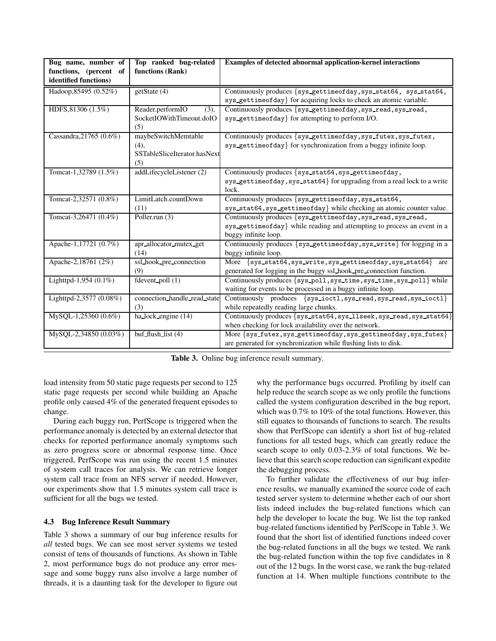| Bug name, number of     | Top ranked bug-related       | Examples of detected abnormal application-kernel interactions           |
|-------------------------|------------------------------|-------------------------------------------------------------------------|
| functions, (percent of  | functions (Rank)             |                                                                         |
| identified functions)   |                              |                                                                         |
| Hadoop, 85495 (0.52%)   | getState (4)                 | Continuously produces {sys_gettimeofday, sys_stat64, sys_stat64,        |
|                         |                              | sys_gettimeofday} for acquiring locks to check an atomic variable.      |
| HDFS, 81306 (1.5%)      | Reader.performIO<br>(3),     | Continuously produces {sys_gettimeofday, sys_read, sys_read,            |
|                         | SocketIOWithTimeout.doIO     | sys_gettimeofday} for attempting to perform I/O.                        |
|                         | (5)                          |                                                                         |
| Cassandra, 21765 (0.6%) | maybeSwitchMemtable          | Continuously produces {sys_gettimeofday, sys_futex, sys_futex,          |
|                         | $(4)$ ,                      | sys_gettimeofday} for synchronization from a buggy infinite loop.       |
|                         | SSTableSliceIterator.hasNext |                                                                         |
|                         | (5)                          |                                                                         |
| Tomcat-1,32789 (1.5%)   | addLifecycleListener (2)     | Continuously produces {sys_stat64, sys_gettimeofday,                    |
|                         |                              | sys_gettimeofday, sys_stat64} for upgrading from a read lock to a write |
|                         |                              | lock.                                                                   |
| Tomcat-2,32571 (0.8%)   | LimitLatch.countDown         | Continuously produces {sys_gettimeofday, sys_stat64,                    |
|                         | (11)                         | sys_stat64, sys_gettimeofday} while checking an atomic counter value.   |
| Tomcat-3,26471 (0.4%)   | Poller.run $(3)$             | Continuously produces {sys_gettimeofday, sys_read, sys_read,            |
|                         |                              | sys_gettimeofday} while reading and attempting to process an event in a |
|                         |                              | buggy infinite loop.                                                    |
| Apache-1,17721 (0.7%)   | apr_allocator_mutex_get      | Continuously produces {sys_gettimeofday, sys_write} for logging in a    |
|                         | (14)                         | buggy infinite loop.                                                    |
| Apache-2,18761 (2%)     | ssl_hook_pre_connection      | More {sys_stat64, sys_write, sys_gettimeofday, sys_stat64}<br>are       |
|                         | (9)                          | generated for logging in the buggy ssl_hook_pre_connection function.    |
| Lighttpd-1,954 (0.1%)   | fdevent_poll $(1)$           | Continuously produces {sys_poll, sys_time, sys_time, sys_poll} while    |
|                         |                              | waiting for events to be processed in a buggy infinite loop.            |
| Lighttpd-2,3577 (0.08%) | connection_handle_read_state | Continuously produces {sys_ioctl, sys_read, sys_read, sys_ioctl}        |
|                         | (3)                          | while repeatedly reading large chunks.                                  |
| MySQL-1,25360 (0.6%)    | ha_lock_engine (14)          | Continuously produces {sys_stat64, sys_llseek, sys_read, sys_stat64}    |
|                         |                              | when checking for lock availability over the network.                   |
| MySQL-2,34850 (0.03%)   | buf flush list $(4)$         | More {sys_futex, sys_gettimeofday, sys_gettimeofday, sys_futex}         |
|                         |                              | are generated for synchronization while flushing lists to disk.         |

Table 3. Online bug inference result summary.

load intensity from 50 static page requests per second to 125 static page requests per second while building an Apache profile only caused 4% of the generated frequent episodes to change.

During each buggy run, PerfScope is triggered when the performance anomaly is detected by an external detector that checks for reported performance anomaly symptoms such as zero progress score or abnormal response time. Once triggered, PerfScope was run using the recent 1.5 minutes of system call traces for analysis. We can retrieve longer system call trace from an NFS server if needed. However, our experiments show that 1.5 minutes system call trace is sufficient for all the bugs we tested.

### 4.3 Bug Inference Result Summary

Table 3 shows a summary of our bug inference results for *all* tested bugs. We can see most server systems we tested consist of tens of thousands of functions. As shown in Table 2, most performance bugs do not produce any error message and some buggy runs also involve a large number of threads, it is a daunting task for the developer to figure out

why the performance bugs occurred. Profiling by itself can help reduce the search scope as we only profile the functions called the system configuration described in the bug report, which was 0.7% to 10% of the total functions. However, this still equates to thousands of functions to search. The results show that PerfScope can identify a short list of bug-related functions for all tested bugs, which can greatly reduce the search scope to only 0.03-2.3% of total functions. We believe that this search scope reduction can significant expedite the debugging process.

To further validate the effectiveness of our bug inference results, we manually examined the source code of each tested server system to determine whether each of our short lists indeed includes the bug-related functions which can help the developer to locate the bug. We list the top ranked bug-related functions identified by PerfScope in Table 3. We found that the short list of identified functions indeed cover the bug-related functions in all the bugs we tested. We rank the bug-related function within the top five candidates in 8 out of the 12 bugs. In the worst case, we rank the bug-related function at 14. When multiple functions contribute to the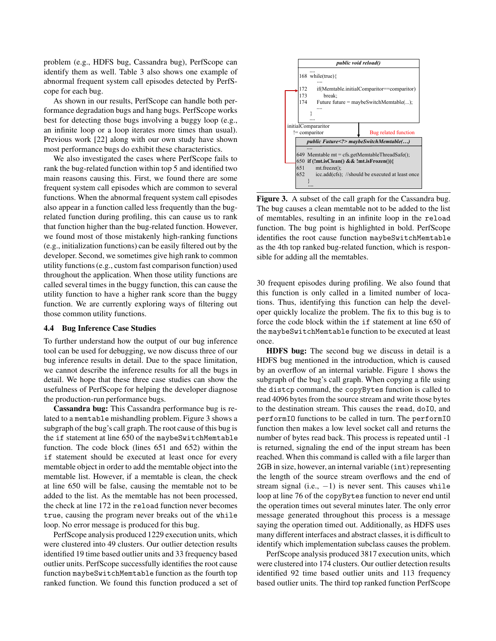problem (e.g., HDFS bug, Cassandra bug), PerfScope can identify them as well. Table 3 also shows one example of abnormal frequent system call episodes detected by PerfScope for each bug.

As shown in our results, PerfScope can handle both performance degradation bugs and hang bugs. PerfScope works best for detecting those bugs involving a buggy loop (e.g., an infinite loop or a loop iterates more times than usual). Previous work [22] along with our own study have shown most performance bugs do exhibit these characteristics.

We also investigated the cases where PerfScope fails to rank the bug-related function within top 5 and identified two main reasons causing this. First, we found there are some frequent system call episodes which are common to several functions. When the abnormal frequent system call episodes also appear in a function called less frequently than the bugrelated function during profiling, this can cause us to rank that function higher than the bug-related function. However, we found most of those mistakenly high-ranking functions (e.g., initialization functions) can be easily filtered out by the developer. Second, we sometimes give high rank to common utility functions (e.g., custom fast comparison function) used throughout the application. When those utility functions are called several times in the buggy function, this can cause the utility function to have a higher rank score than the buggy function. We are currently exploring ways of filtering out those common utility functions.

#### 4.4 Bug Inference Case Studies

To further understand how the output of our bug inference tool can be used for debugging, we now discuss three of our bug inference results in detail. Due to the space limitation, we cannot describe the inference results for all the bugs in detail. We hope that these three case studies can show the usefulness of PerfScope for helping the developer diagnose the production-run performance bugs.

Cassandra bug: This Cassandra performance bug is related to a memtable mishandling problem. Figure 3 shows a subgraph of the bug's call graph. The root cause of this bug is the if statement at line 650 of the maybeSwitchMemtable function. The code block (lines 651 and 652) within the if statement should be executed at least once for every memtable object in order to add the memtable object into the memtable list. However, if a memtable is clean, the check at line 650 will be false, causing the memtable not to be added to the list. As the memtable has not been processed, the check at line 172 in the reload function never becomes true, causing the program never breaks out of the while loop. No error message is produced for this bug.

PerfScope analysis produced 1229 execution units, which were clustered into 49 clusters. Our outlier detection results identified 19 time based outlier units and 33 frequency based outlier units. PerfScope successfully identifies the root cause function maybeSwitchMemtable function as the fourth top ranked function. We found this function produced a set of



Figure 3. A subset of the call graph for the Cassandra bug. The bug causes a clean memtable not to be added to the list of memtables, resulting in an infinite loop in the reload function. The bug point is highlighted in bold. PerfScope identifies the root cause function maybeSwitchMemtable as the 4th top ranked bug-related function, which is responsible for adding all the memtables.

30 frequent episodes during profiling. We also found that this function is only called in a limited number of locations. Thus, identifying this function can help the developer quickly localize the problem. The fix to this bug is to force the code block within the if statement at line 650 of the maybeSwitchMemtable function to be executed at least once.

HDFS bug: The second bug we discuss in detail is a HDFS bug mentioned in the introduction, which is caused by an overflow of an internal variable. Figure 1 shows the subgraph of the bug's call graph. When copying a file using the distcp command, the copyBytes function is called to read 4096 bytes from the source stream and write those bytes to the destination stream. This causes the read, doIO, and performIO functions to be called in turn. The performIO function then makes a low level socket call and returns the number of bytes read back. This process is repeated until -1 is returned, signaling the end of the input stream has been reached. When this command is called with a file larger than 2GB in size, however, an internal variable (int) representing the length of the source stream overflows and the end of stream signal (i.e.,  $-1$ ) is never sent. This causes while loop at line 76 of the copyBytes function to never end until the operation times out several minutes later. The only error message generated throughout this process is a message saying the operation timed out. Additionally, as HDFS uses many different interfaces and abstract classes, it is difficult to identify which implementation subclass causes the problem.

PerfScope analysis produced 3817 execution units, which were clustered into 174 clusters. Our outlier detection results identified 92 time based outlier units and 113 frequency based outlier units. The third top ranked function PerfScope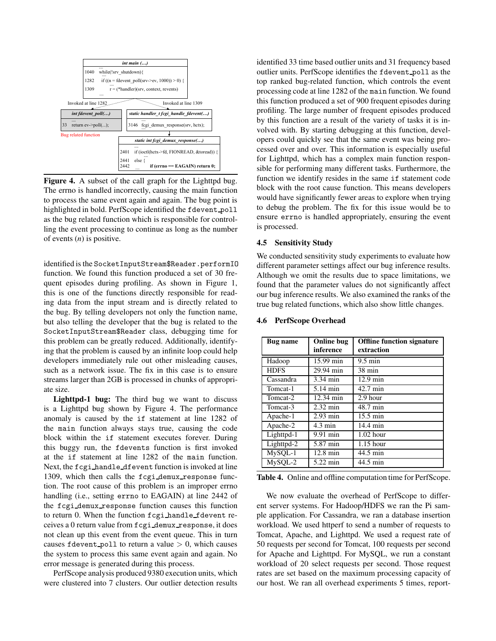

Figure 4. A subset of the call graph for the Lighttpd bug. The errno is handled incorrectly, causing the main function to process the same event again and again. The bug point is highlighted in bold. PerfScope identified the fdevent poll as the bug related function which is responsible for controlling the event processing to continue as long as the number of events (*n*) is positive.

identified is the SocketInputStream\$Reader.performIO function. We found this function produced a set of 30 frequent episodes during profiling. As shown in Figure 1, this is one of the functions directly responsible for reading data from the input stream and is directly related to the bug. By telling developers not only the function name, but also telling the developer that the bug is related to the SocketInputStream\$Reader class, debugging time for this problem can be greatly reduced. Additionally, identifying that the problem is caused by an infinite loop could help developers immediately rule out other misleading causes, such as a network issue. The fix in this case is to ensure streams larger than 2GB is processed in chunks of appropriate size.

Lighttpd-1 bug: The third bug we want to discuss is a Lighttpd bug shown by Figure 4. The performance anomaly is caused by the if statement at line 1282 of the main function always stays true, causing the code block within the if statement executes forever. During this buggy run, the fdevents function is first invoked at the if statement at line 1282 of the main function. Next, the fcgi handle dfevent function is invoked at line 1309, which then calls the fcgi\_demux\_response function. The root cause of this problem is an improper errno handling (i.e., setting errno to EAGAIN) at line 2442 of the fcgi demux response function causes this function to return 0. When the function fcgi handle fdevent receives a 0 return value from fcgi demux response, it does not clean up this event from the event queue. This in turn causes fdevent poll to return a value  $> 0$ , which causes the system to process this same event again and again. No error message is generated during this process.

PerfScope analysis produced 9380 execution units, which were clustered into 7 clusters. Our outlier detection results

identified 33 time based outlier units and 31 frequency based outlier units. PerfScope identifies the fdevent poll as the top ranked bug-related function, which controls the event processing code at line 1282 of the main function. We found this function produced a set of 900 frequent episodes during profiling. The large number of frequent episodes produced by this function are a result of the variety of tasks it is involved with. By starting debugging at this function, developers could quickly see that the same event was being processed over and over. This information is especially useful for Lighttpd, which has a complex main function responsible for performing many different tasks. Furthermore, the function we identify resides in the same if statement code block with the root cause function. This means developers would have significantly fewer areas to explore when trying to debug the problem. The fix for this issue would be to ensure errno is handled appropriately, ensuring the event is processed.

#### 4.5 Sensitivity Study

We conducted sensitivity study experiments to evaluate how different parameter settings affect our bug inference results. Although we omit the results due to space limitations, we found that the parameter values do not significantly affect our bug inference results. We also examined the ranks of the true bug related functions, which also show little changes.

| <b>Bug name</b> | <b>Online bug</b><br>inference | <b>Offline function signature</b><br>extraction |
|-----------------|--------------------------------|-------------------------------------------------|
| Hadoop          | 15.99 min                      | $9.5 \text{ min}$                               |
| <b>HDFS</b>     | 29.94 min                      | 38 min                                          |
| Cassandra       | 3.34 min                       | $12.9 \text{ min}$                              |
| Tomcat-1        | 5.14 min                       | 42.7 min                                        |
| Tomcat-2        | 12.34 min                      | 2.9 hour                                        |
| Tomcat-3        | $2.32 \text{ min}$             | 48.7 min                                        |
| Apache-1        | $2.93 \text{ min}$             | 15.5 min                                        |
| Apache-2        | $4.3 \text{ min}$              | 14.4 min                                        |
| Lighttpd-1      | 9.91 min                       | $1.02$ hour                                     |
| Lighttpd-2      | 5.87 min                       | $1.15$ hour                                     |
| MySQL-1         | $12.8 \text{ min}$             | 44.5 min                                        |
| MySQL-2         | 5.22 min                       | 44.5 min                                        |

#### 4.6 PerfScope Overhead

Table 4. Online and offline computation time for PerfScope.

We now evaluate the overhead of PerfScope to different server systems. For Hadoop/HDFS we ran the Pi sample application. For Cassandra, we ran a database insertion workload. We used httperf to send a number of requests to Tomcat, Apache, and Lighttpd. We used a request rate of 50 requests per second for Tomcat, 100 requests per second for Apache and Lighttpd. For MySQL, we run a constant workload of 20 select requests per second. Those request rates are set based on the maximum processing capacity of our host. We ran all overhead experiments 5 times, report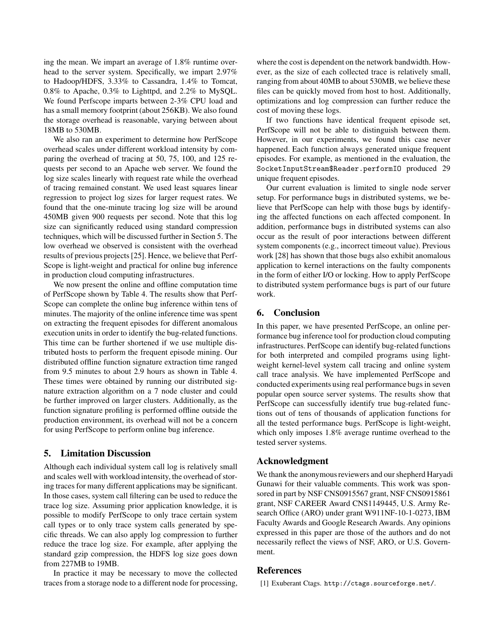ing the mean. We impart an average of 1.8% runtime overhead to the server system. Specifically, we impart 2.97% to Hadoop/HDFS, 3.33% to Cassandra, 1.4% to Tomcat, 0.8% to Apache, 0.3% to Lighttpd, and 2.2% to MySQL. We found Perfscope imparts between 2-3% CPU load and has a small memory footprint (about 256KB). We also found the storage overhead is reasonable, varying between about 18MB to 530MB.

We also ran an experiment to determine how PerfScope overhead scales under different workload intensity by comparing the overhead of tracing at 50, 75, 100, and 125 requests per second to an Apache web server. We found the log size scales linearly with request rate while the overhead of tracing remained constant. We used least squares linear regression to project log sizes for larger request rates. We found that the one-minute tracing log size will be around 450MB given 900 requests per second. Note that this log size can significantly reduced using standard compression techniques, which will be discussed further in Section 5. The low overhead we observed is consistent with the overhead results of previous projects [25]. Hence, we believe that Perf-Scope is light-weight and practical for online bug inference in production cloud computing infrastructures.

We now present the online and offline computation time of PerfScope shown by Table 4. The results show that Perf-Scope can complete the online bug inference within tens of minutes. The majority of the online inference time was spent on extracting the frequent episodes for different anomalous execution units in order to identify the bug-related functions. This time can be further shortened if we use multiple distributed hosts to perform the frequent episode mining. Our distributed offline function signature extraction time ranged from 9.5 minutes to about 2.9 hours as shown in Table 4. These times were obtained by running our distributed signature extraction algorithm on a 7 node cluster and could be further improved on larger clusters. Additionally, as the function signature profiling is performed offline outside the production environment, its overhead will not be a concern for using PerfScope to perform online bug inference.

# 5. Limitation Discussion

Although each individual system call log is relatively small and scales well with workload intensity, the overhead of storing traces for many different applications may be significant. In those cases, system call filtering can be used to reduce the trace log size. Assuming prior application knowledge, it is possible to modify PerfScope to only trace certain system call types or to only trace system calls generated by specific threads. We can also apply log compression to further reduce the trace log size. For example, after applying the standard gzip compression, the HDFS log size goes down from 227MB to 19MB.

In practice it may be necessary to move the collected traces from a storage node to a different node for processing,

where the cost is dependent on the network bandwidth. However, as the size of each collected trace is relatively small, ranging from about 40MB to about 530MB, we believe these files can be quickly moved from host to host. Additionally, optimizations and log compression can further reduce the cost of moving these logs.

If two functions have identical frequent episode set, PerfScope will not be able to distinguish between them. However, in our experiments, we found this case never happened. Each function always generated unique frequent episodes. For example, as mentioned in the evaluation, the SocketInputStream\$Reader.performIO produced 29 unique frequent episodes.

Our current evaluation is limited to single node server setup. For performance bugs in distributed systems, we believe that PerfScope can help with those bugs by identifying the affected functions on each affected component. In addition, performance bugs in distributed systems can also occur as the result of poor interactions between different system components (e.g., incorrect timeout value). Previous work [28] has shown that those bugs also exhibit anomalous application to kernel interactions on the faulty components in the form of either I/O or locking. How to apply PerfScope to distributed system performance bugs is part of our future work.

# 6. Conclusion

In this paper, we have presented PerfScope, an online performance bug inference tool for production cloud computing infrastructures. PerfScope can identify bug-related functions for both interpreted and compiled programs using lightweight kernel-level system call tracing and online system call trace analysis. We have implemented PerfScope and conducted experiments using real performance bugs in seven popular open source server systems. The results show that PerfScope can successfully identify true bug-related functions out of tens of thousands of application functions for all the tested performance bugs. PerfScope is light-weight, which only imposes 1.8% average runtime overhead to the tested server systems.

### Acknowledgment

We thank the anonymous reviewers and our shepherd Haryadi Gunawi for their valuable comments. This work was sponsored in part by NSF CNS0915567 grant, NSF CNS0915861 grant, NSF CAREER Award CNS1149445, U.S. Army Research Office (ARO) under grant W911NF-10-1-0273, IBM Faculty Awards and Google Research Awards. Any opinions expressed in this paper are those of the authors and do not necessarily reflect the views of NSF, ARO, or U.S. Government.

## References

[1] Exuberant Ctags. http://ctags.sourceforge.net/.